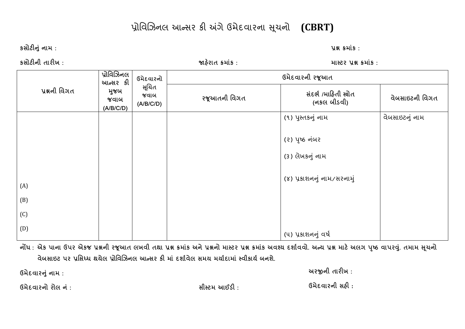## પ્રોિવિઝનલ આƛસર કી અંગેઉમેદવારના સચનો ૂ **(CBRT)**

**કસોટȵંુનામ : ̆ĕ ˲માકં :** 

**કસોટની**

 **તારખ : Ĥહરાત° ˲માકં : માƨટર ̆ĕ ˲માકં : ̆ĕની િવગત̆ોિવઝનલ**આન્સર કી **Ⱥજબુ જવાબ(A/B/C/D) ઉમેદવારનોɅચતૂ જવાબ(A/B/C/D) ઉમેદવારની રȩૂઆત રȩૂઆતની િવગત સદભ ં <sup>½</sup> /માહતી Ęોત (નકલ બીડવી) વેબસાઇટની િવગત** (A) (B) (C) (D) ો પ્રસ્તકનું નામ જ ગામમાં આવેલા પ્રાપ્ત (૧) પુસ્તકનું નામ (૨) પૃષ્ઠ નંબર (૩) લેખકનું નામ (૪) પ્રકાશનનુ ંનામ/સરનામુ ં(૫) પ્રકાશનનુ ંવષર્ વેબસાઇટનું નામ

નોંધ : એક પાના ઉપર એકજ પ્રશ્નની રજૂઆત લખવી તથા પ્રશ્ન કમાંક અને પ્રશ્નનો માસ્ટર પ્રશ્ન કમાંક અવશ્ય દર્શાવવો. અન્ય પ્રશ્ન માટે અલગ પૃષ્ઠ વાપરવું. તમામ સૂચનો **વેબસાઇટ પર ̆િસƚધ થયેલ ̆ોિવઝનલ આƛસર ક માં દશા½વેલ સમય મયા½દામાં ƨવીકાય½ બનશે.** 

**ઉમેદવારȵંુનામ : અરĥની તારખ :** 

**ઉમેદવારનો રોલ**

**<sup>ન</sup> : ં સીƨટમ આઈડ : ઉમેદવારની સહ :**